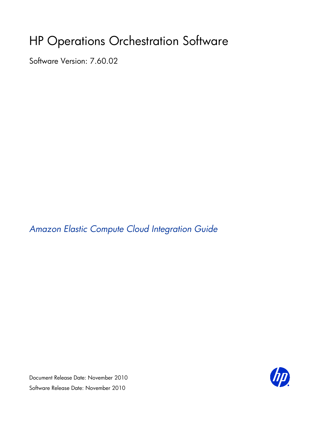# HP Operations Orchestration Software

Software Version: 7.60.02

*Amazon Elastic Compute Cloud Integration Guide*

Document Release Date: November 2010 Software Release Date: November 2010

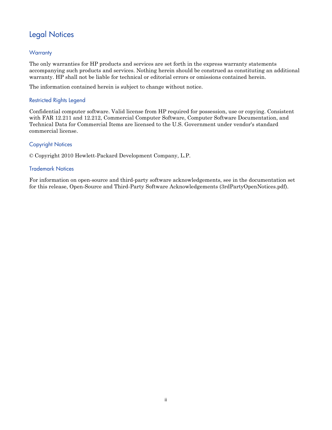# Legal Notices

# <span id="page-1-0"></span>**Warranty**

The only warranties for HP products and services are set forth in the express warranty statements accompanying such products and services. Nothing herein should be construed as constituting an additional warranty. HP shall not be liable for technical or editorial errors or omissions contained herein.

<span id="page-1-1"></span>The information contained herein is subject to change without notice.

# Restricted Rights Legend

Confidential computer software. Valid license from HP required for possession, use or copying. Consistent with FAR 12.211 and 12.212, Commercial Computer Software, Computer Software Documentation, and Technical Data for Commercial Items are licensed to the U.S. Government under vendor's standard commercial license.

#### Copyright Notices

<span id="page-1-2"></span>© Copyright 2010 Hewlett-Packard Development Company, L.P.

#### Trademark Notices

For information on open-source and third-party software acknowledgements, see in the documentation set for this release, Open-Source and Third-Party Software Acknowledgements (3rdPartyOpenNotices.pdf).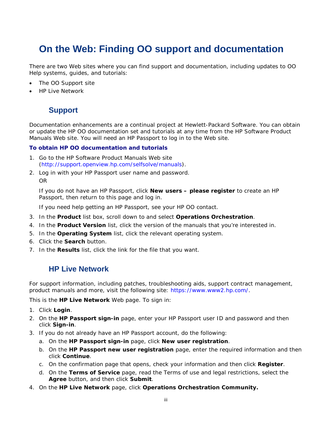# <span id="page-2-0"></span>**On the Web: Finding OO support and documentation**

There are two Web sites where you can find support and documentation, including updates to OO Help systems, guides, and tutorials:

- The OO Support site
- <span id="page-2-1"></span>• HP Live Network

# **Support**

Documentation enhancements are a continual project at Hewlett-Packard Software. You can obtain or update the HP OO documentation set and tutorials at any time from the HP Software Product Manuals Web site. You will need an HP Passport to log in to the Web site.

#### **To obtain HP OO documentation and tutorials**

- 1. Go to the HP Software Product Manuals Web site (*<http://support.openview.hp.com/selfsolve/manuals>*).
- 2. Log in with your HP Passport user name and password. OR

If you do not have an HP Passport, click **New users – please register** to create an HP Passport, then return to this page and log in.

If you need help getting an HP Passport, see your HP OO contact.

- 3. In the **Product** list box, scroll down to and select **Operations Orchestration**.
- 4. In the **Product Version** list, click the version of the manuals that you're interested in.
- 5. In the **Operating System** list, click the relevant operating system.
- 6. Click the **Search** button.
- <span id="page-2-2"></span>7. In the **Results** list, click the link for the file that you want.

# **HP Live Network**

For support information, including patches, troubleshooting aids, support contract management, product manuals and more, visit the following site: *<https://www.www2.hp.com/>*.

This is the **HP Live Network** Web page. To sign in:

- 1. Click **Login**.
- 2. On the **HP Passport sign-in** page, enter your HP Passport user ID and password and then click **Sign-in**.
- 3. If you do not already have an HP Passport account, do the following:
	- *a.* On the **HP Passport sign-in** page, click **New user registration**.
	- b. On the **HP Passport new user registration** page, enter the required information and then click **Continue**.
	- c. On the confirmation page that opens, check your information and then click **Register**.
	- d. On the **Terms of Service** page, read the Terms of use and legal restrictions, select the **Agree** button, and then click **Submit**.
- 4. On the **HP Live Network** page, click **Operations Orchestration Community.**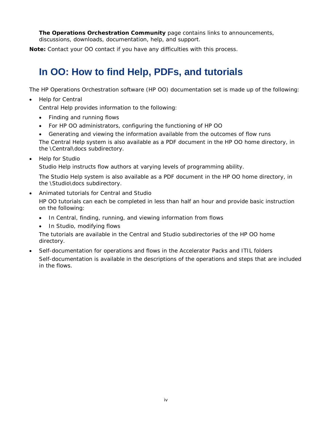**The Operations Orchestration Community** page contains links to announcements, discussions, downloads, documentation, help, and support.

<span id="page-3-0"></span>**Note:** Contact your OO contact if you have any difficulties with this process.

# **In OO: How to find Help, PDFs, and tutorials**

The HP Operations Orchestration software (HP OO) documentation set is made up of the following:

• Help for Central

Central Help provides information to the following:

- Finding and running flows
- For HP OO administrators, configuring the functioning of HP OO
- Generating and viewing the information available from the outcomes of flow runs

The Central Help system is also available as a PDF document in the HP OO home directory, in the \Central\docs subdirectory.

• Help for Studio

Studio Help instructs flow authors at varying levels of programming ability.

The Studio Help system is also available as a PDF document in the HP OO home directory, in the \Studio\docs subdirectory.

• Animated tutorials for Central and Studio

HP OO tutorials can each be completed in less than half an hour and provide basic instruction on the following:

- In Central, finding, running, and viewing information from flows
- In Studio, modifying flows

The tutorials are available in the Central and Studio subdirectories of the HP OO home directory.

• Self-documentation for operations and flows in the Accelerator Packs and ITIL folders Self-documentation is available in the descriptions of the operations and steps that are included in the flows.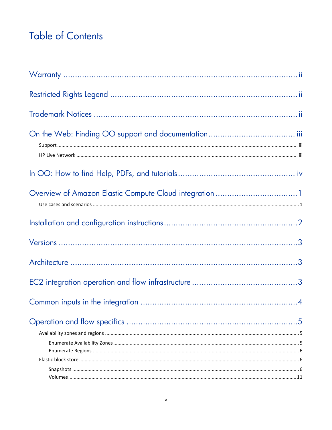# **Table of Contents**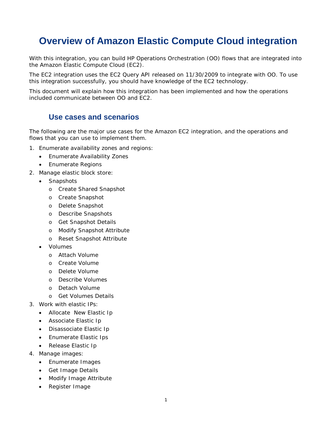# <span id="page-7-0"></span>**Overview of Amazon Elastic Compute Cloud integration**

With this integration, you can build HP Operations Orchestration (OO) flows that are integrated into the Amazon Elastic Compute Cloud (EC2).

The EC2 integration uses the EC2 Query API released on 11/30/2009 to integrate with OO. To use this integration successfully, you should have knowledge of the EC2 technology.

<span id="page-7-1"></span>This document will explain how this integration has been implemented and how the operations included communicate between OO and EC2.

# **Use cases and scenarios**

The following are the major use cases for the Amazon EC2 integration, and the operations and flows that you can use to implement them.

- 1. Enumerate availability zones and regions:
	- Enumerate Availability Zones
	- Enumerate Regions
- 2. Manage elastic block store:
	- Snapshots
		- o Create Shared Snapshot
		- o Create Snapshot
		- o Delete Snapshot
		- o Describe Snapshots
		- o Get Snapshot Details
		- o Modify Snapshot Attribute
		- o Reset Snapshot Attribute
	- Volumes
		- o Attach Volume
		- o Create Volume
		- o Delete Volume
		- o Describe Volumes
		- o Detach Volume
		- o Get Volumes Details
- 3. Work with elastic IPs:
	- Allocate New Elastic Ip
	- Associate Elastic Ip
	- Disassociate Elastic Ip
	- Enumerate Elastic Ips
	- Release Elastic Ip
- 4. Manage images:
	- Enumerate Images
	- Get Image Details
	- Modify Image Attribute
	- Register Image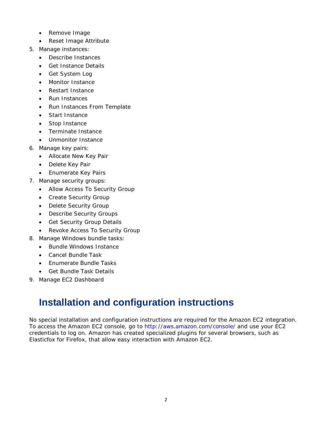- Remove Image
- Reset Image Attribute
- 5. Manage instances:
	- Describe Instances
	- Get Instance Details
	- Get System Log
	- Monitor Instance
	- Restart Instance
	- Run Instances
	- Run Instances From Template
	- Start Instance
	- Stop Instance
	- Terminate Instance
	- Unmonitor Instance
- 6. Manage key pairs:
	- Allocate New Key Pair
	- Delete Key Pair
	- Enumerate Key Pairs
- 7. Manage security groups:
	- Allow Access To Security Group
	- Create Security Group
	- Delete Security Group
	- Describe Security Groups
	- Get Security Group Details
	- Revoke Access To Security Group
- 8. Manage Windows bundle tasks:
	- Bundle Windows Instance
	- Cancel Bundle Task
	- Enumerate Bundle Tasks
	- Get Bundle Task Details
- <span id="page-8-0"></span>9. Manage EC2 Dashboard

# **Installation and configuration instructions**

No special installation and configuration instructions are required for the Amazon EC2 integration. To access the Amazon EC2 console, go to *<http://aws.amazon.com/console/>* and use your EC2 credentials to log on. Amazon has created specialized plugins for several browsers, such as Elasticfox for Firefox, that allow easy interaction with Amazon EC2.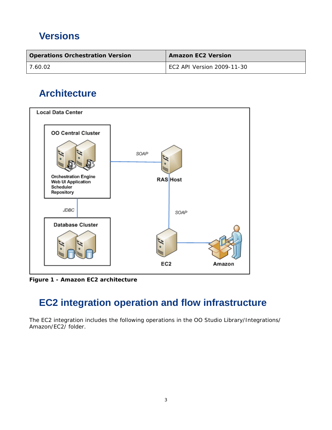# <span id="page-9-0"></span>**Versions**

| <b>Operations Orchestration Version</b> | <b>Amazon EC2 Version</b>  |
|-----------------------------------------|----------------------------|
| 7.60.02                                 | EC2 API Version 2009-11-30 |

# <span id="page-9-1"></span>**Architecture**



<span id="page-9-2"></span>**Figure 1 - Amazon EC2 architecture**

# **EC2 integration operation and flow infrastructure**

The EC2 integration includes the following operations in the OO Studio Library/Integrations/ Amazon/EC2/ folder.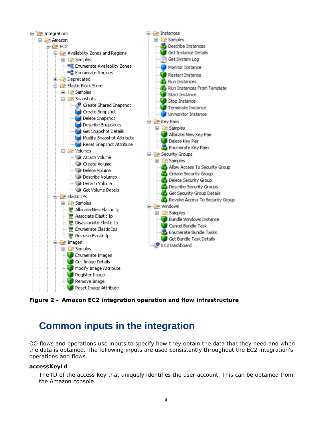

<span id="page-10-0"></span>**Figure 2 – Amazon EC2 integration operation and flow infrastructure**

# **Common inputs in the integration**

OO flows and operations use inputs to specify how they obtain the data that they need and when the data is obtained. The following inputs are used consistently throughout the EC2 integration's operations and flows.

# **accessKeyId**

The ID of the access key that uniquely identifies the user account. This can be obtained from the Amazon console.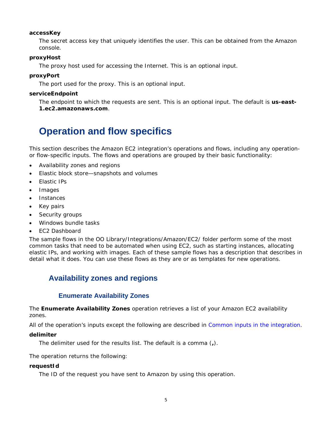## **accessKey**

The secret access key that uniquely identifies the user. This can be obtained from the Amazon console.

#### **proxyHost**

The proxy host used for accessing the Internet. This is an optional input.

# **proxyPort**

The port used for the proxy. This is an optional input.

#### **serviceEndpoint**

The endpoint to which the requests are sent. This is an optional input. The default is **us-east-1.ec2.amazonaws.com**.

# <span id="page-11-0"></span>**Operation and flow specifics**

This section describes the Amazon EC2 integration's operations and flows, including any operationor flow-specific inputs. The flows and operations are grouped by their basic functionality:

- Availability zones and regions
- Elastic block store—snapshots and volumes
- Elastic IPs
- **Images**
- **Instances**
- Key pairs
- Security groups
- Windows bundle tasks
- EC2 Dashboard

The sample flows in the OO Library/Integrations/Amazon/EC2/ folder perform some of the most common tasks that need to be automated when using EC2, such as starting instances, allocating elastic IPs, and working with images. Each of these sample flows has a description that describes in detail what it does. You can use these flows as they are or as templates for new operations.

# <span id="page-11-1"></span>**Availability zones and regions**

# **Enumerate Availability Zones**

<span id="page-11-2"></span>The **Enumerate Availability Zones** operation retrieves a list of your Amazon EC2 availability zones.

All of the operation's inputs except the following are described in *[Common inputs in the integration](#page-10-0)*.

#### **delimiter**

The delimiter used for the results list. The default is a comma (**,**).

The operation returns the following:

#### **requestId**

The ID of the request you have sent to Amazon by using this operation.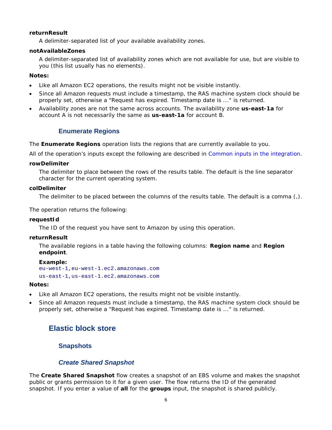# **returnResult**

A delimiter-separated list of your available availability zones.

#### **notAvailableZones**

A delimiter-separated list of availability zones which are not available for use, but are visible to you (this list usually has no elements).

#### **Notes:**

- Like all Amazon EC2 operations, the results might not be visible instantly.
- Since all Amazon requests must include a timestamp, the RAS machine system clock should be properly set, otherwise a "Request has expired. Timestamp date is ..." is returned.
- <span id="page-12-0"></span>• Availability zones are not the same across accounts. The availability zone **us-east-1a** for account A is not necessarily the same as **us-east-1a** for account B.

# **Enumerate Regions**

The **Enumerate Regions** operation lists the regions that are currently available to you.

All of the operation's inputs except the following are described in *[Common inputs in](#page-10-0) the integration*.

#### **rowDelimiter**

The delimiter to place between the rows of the results table. The default is the line separator character for the current operating system.

#### **colDelimiter**

The delimiter to be placed between the columns of the results table. The default is a comma (,).

The operation returns the following:

#### **requestId**

The ID of the request you have sent to Amazon by using this operation.

#### **returnResult**

The available regions in a table having the following columns: **Region name** and **Region endpoint**.

#### **Example:**  eu-west-1,eu-west-1.ec2.amazonaws.com us-east-1,us-east-1.ec2.amazonaws.com

#### **Notes:**

- Like all Amazon EC2 operations, the results might not be visible instantly.
- <span id="page-12-1"></span>• Since all Amazon requests must include a timestamp, the RAS machine system clock should be properly set, otherwise a "Request has expired. Timestamp date is ..." is returned.

# <span id="page-12-2"></span>**Elastic block store**

# **Snapshots**

# *Create Shared Snapshot*

The **Create Shared Snapshot** flow creates a snapshot of an EBS volume and makes the snapshot public or grants permission to it for a given user. The flow returns the ID of the generated snapshot. If you enter a value of **all** for the **groups** input, the snapshot is shared publicly.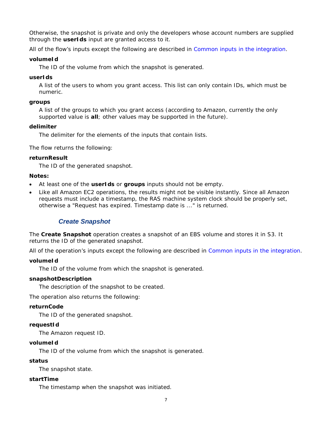Otherwise, the snapshot is private and only the developers whose account numbers are supplied through the **userIds** input are granted access to it.

All of the flow's inputs except the following are described in *[Common inputs in the integration](#page-10-0)*.

# **volumeId**

The ID of the volume from which the snapshot is generated.

# **userIds**

A list of the users to whom you grant access. This list can only contain IDs, which must be numeric.

# **groups**

A list of the groups to which you grant access (according to Amazon, currently the only supported value is **all**; other values may be supported in the future).

# **delimiter**

The delimiter for the elements of the inputs that contain lists.

The flow returns the following:

# **returnResult**

The ID of the generated snapshot.

# **Notes:**

- At least one of the **userIds** or **groups** inputs should not be empty.
- Like all Amazon EC2 operations, the results might not be visible instantly. Since all Amazon requests must include a timestamp, the RAS machine system clock should be properly set, otherwise a "Request has expired. Timestamp date is ..." is returned.

# *Create Snapshot*

The **Create Snapshot** operation creates a snapshot of an EBS volume and stores it in S3. It returns the ID of the generated snapshot.

All of the operation's inputs except the following are described in *[Common inputs in the integration](#page-10-0)*.

# **volumeId**

The ID of the volume from which the snapshot is generated.

# **snapshotDescription**

The description of the snapshot to be created.

The operation also returns the following:

# **returnCode**

The ID of the generated snapshot.

# **requestId**

The Amazon request ID.

# **volumeId**

The ID of the volume from which the snapshot is generated.

# **status**

The snapshot state.

# **startTime**

The timestamp when the snapshot was initiated.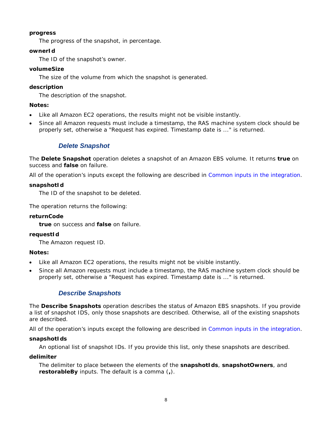### **progress**

The progress of the snapshot, in percentage.

## **ownerId**

The ID of the snapshot's owner.

# **volumeSize**

The size of the volume from which the snapshot is generated.

## **description**

The description of the snapshot.

### **Notes:**

- Like all Amazon EC2 operations, the results might not be visible instantly.
- Since all Amazon requests must include a timestamp, the RAS machine system clock should be properly set, otherwise a "Request has expired. Timestamp date is ..." is returned.

# *Delete Snapshot*

The **Delete Snapshot** operation deletes a snapshot of an Amazon EBS volume. It returns **true** on success and **false** on failure.

All of the operation's inputs except the following are described in *[Common inputs in the integration](#page-10-0)*.

#### **snapshotId**

The ID of the snapshot to be deleted.

The operation returns the following:

## **returnCode**

**true** on success and **false** on failure.

#### **requestId**

The Amazon request ID.

# **Notes:**

- Like all Amazon EC2 operations, the results might not be visible instantly.
- Since all Amazon requests must include a timestamp, the RAS machine system clock should be properly set, otherwise a "Request has expired. Timestamp date is ..." is returned.

# *Describe Snapshots*

The **Describe Snapshots** operation describes the status of Amazon EBS snapshots. If you provide a list of snapshot IDS, only those snapshots are described. Otherwise, all of the existing snapshots are described.

All of the operation's inputs except the following are described in *[Common inputs in the integration](#page-10-0)*.

# **snapshotIds**

An optional list of snapshot IDs. If you provide this list, only these snapshots are described.

# **delimiter**

The delimiter to place between the elements of the **snapshotIds**, **snapshotOwners**, and **restorableBy** inputs. The default is a comma (**,**).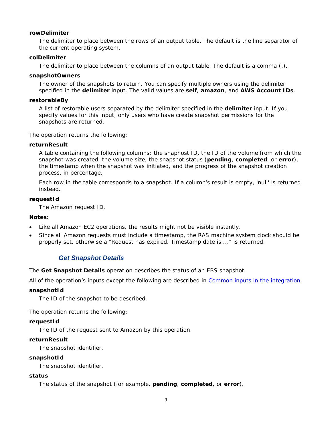# **rowDelimiter**

The delimiter to place between the rows of an output table. The default is the line separator of the current operating system.

#### **colDelimiter**

The delimiter to place between the columns of an output table. The default is a comma (,).

#### **snapshotOwners**

The owner of the snapshots to return. You can specify multiple owners using the delimiter specified in the **delimiter** input. The valid values are **self**, **amazon**, and **AWS Account IDs**.

#### **restorableBy**

A list of restorable users separated by the delimiter specified in the **delimiter** input. If you specify values for this input, only users who have create snapshot permissions for the snapshots are returned.

The operation returns the following:

#### **returnResult**

A table containing the following columns: the snaphost ID**,** the ID of the volume from which the snapshot was created, the volume size, the snapshot status (**pending**, **completed**, or **error**), the timestamp when the snapshot was initiated, and the progress of the snapshot creation process, in percentage.

Each row in the table corresponds to a snapshot. If a column's result is empty, 'null' is returned instead.

#### **requestId**

The Amazon request ID.

#### **Notes:**

- Like all Amazon EC2 operations, the results might not be visible instantly.
- Since all Amazon requests must include a timestamp, the RAS machine system clock should be properly set, otherwise a "Request has expired. Timestamp date is ..." is returned.

# *Get Snapshot Details*

The **Get Snapshot Details** operation describes the status of an EBS snapshot.

All of the operation's inputs except the following are described in *[Common inputs in the integration](#page-10-0)*.

#### **snapshotId**

The ID of the snapshot to be described.

The operation returns the following:

#### **requestId**

The ID of the request sent to Amazon by this operation.

#### **returnResult**

The snapshot identifier.

#### **snapshotId**

The snapshot identifier.

#### **status**

The status of the snapshot (for example, **pending**, **completed**, or **error**).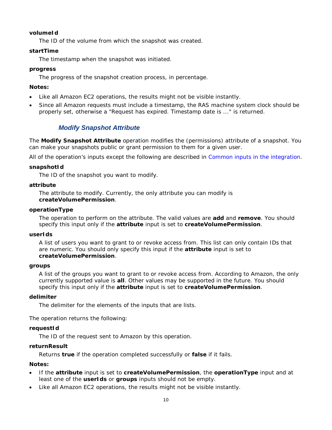# **volumeId**

The ID of the volume from which the snapshot was created.

### **startTime**

The timestamp when the snapshot was initiated.

# **progress**

The progress of the snapshot creation process, in percentage.

#### **Notes:**

- Like all Amazon EC2 operations, the results might not be visible instantly.
- Since all Amazon requests must include a timestamp, the RAS machine system clock should be properly set, otherwise a "Request has expired. Timestamp date is ..." is returned.

# *Modify Snapshot Attribute*

The **Modify Snapshot Attribute** operation modifies the (permissions) attribute of a snapshot. You can make your snapshots public or grant permission to them for a given user.

All of the operation's inputs except the following are described in *[Common inputs in the integration](#page-10-0)*.

#### **snapshotId**

The ID of the snapshot you want to modify.

#### **attribute**

The attribute to modify. Currently, the only attribute you can modify is **createVolumePermission**.

#### **operationType**

The operation to perform on the attribute. The valid values are **add** and **remove**. You should specify this input only if the **attribute** input is set to **createVolumePermission**.

#### **userIds**

A list of users you want to grant to or revoke access from. This list can only contain IDs that are numeric. You should only specify this input if the **attribute** input is set to **createVolumePermission**.

#### **groups**

A list of the groups you want to grant to or revoke access from. According to Amazon, the only currently supported value is **all**. Other values may be supported in the future. You should specify this input only if the **attribute** input is set to **createVolumePermission**.

#### **delimiter**

The delimiter for the elements of the inputs that are lists.

The operation returns the following:

#### **requestId**

The ID of the request sent to Amazon by this operation.

# **returnResult**

Returns **true** if the operation completed successfully or **false** if it fails.

#### **Notes:**

- If the **attribute** input is set to **createVolumePermission**, the **operationType** input and at least one of the **userIds** or **groups** inputs should not be empty.
- Like all Amazon EC2 operations, the results might not be visible instantly.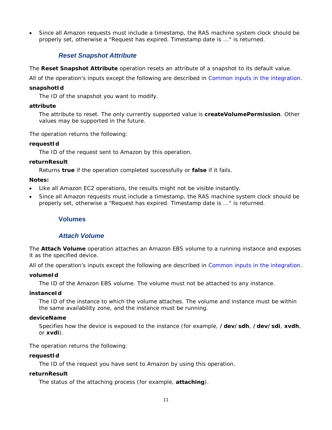• Since all Amazon requests must include a timestamp, the RAS machine system clock should be properly set, otherwise a "Request has expired. Timestamp date is ..." is returned.

# *Reset Snapshot Attribute*

The **Reset Snapshot Attribute** operation resets an attribute of a snapshot to its default value.

All of the operation's inputs except the following are described in *[Common inputs in the integration](#page-10-0)*.

#### **snapshotId**

The ID of the snapshot you want to modify.

#### **attribute**

The attribute to reset. The only currently supported value is **createVolumePermission**. Other values may be supported in the future.

The operation returns the following:

#### **requestId**

The ID of the request sent to Amazon by this operation.

#### **returnResult**

Returns **true** if the operation completed successfully or **false** if it fails.

#### **Notes:**

- Like all Amazon EC2 operations, the results might not be visible instantly.
- <span id="page-17-0"></span>• Since all Amazon requests must include a timestamp, the RAS machine system clock should be properly set, otherwise a "Request has expired. Timestamp date is ..." is returned.

# **Volumes**

# *Attach Volume*

The **Attach Volume** operation attaches an Amazon EBS volume to a running instance and exposes it as the specified device.

All of the operation's inputs except the following are described in *[Common inputs in the integration](#page-10-0)*.

#### **volumeId**

The ID of the Amazon EBS volume. The volume must not be attached to any instance.

#### **instanceId**

The ID of the instance to which the volume attaches. The volume and instance must be within the same availability zone, and the instance must be running.

#### **deviceName**

Specifies how the device is exposed to the instance (for example, **/dev/sdh**, **/dev/sdi**, **xvdh**, or **xvdi**).

The operation returns the following:

#### **requestId**

The ID of the request you have sent to Amazon by using this operation.

#### **returnResult**

The status of the attaching process (for example, **attaching**).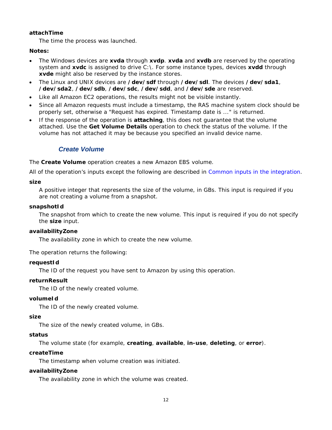# **attachTime**

The time the process was launched.

# **Notes:**

- The Windows devices are **xvda** through **xvdp**. **xvda** and **xvdb** are reserved by the operating system and **xvdc** is assigned to drive C:\. For some instance types, devices **xvdd** through **xvde** might also be reserved by the instance stores.
- The Linux and UNIX devices are **/dev/sdf** through **/dev/sdl**. The devices **/dev/sda1**, **/dev/sda2**, **/dev/sdb**, **/dev/sdc**, **/dev/sdd**, and **/dev/sde** are reserved.
- Like all Amazon EC2 operations, the results might not be visible instantly.
- Since all Amazon requests must include a timestamp, the RAS machine system clock should be properly set, otherwise a "Request has expired. Timestamp date is ..." is returned.
- If the response of the operation is **attaching**, this does not guarantee that the volume attached. Use the **Get Volume Details** operation to check the status of the volume. If the volume has not attached it may be because you specified an invalid device name.

# *Create Volume*

The **Create Volume** operation creates a new Amazon EBS volume.

All of the operation's inputs except the following are described in *[Common inputs in the integration](#page-10-0)*.

#### **size**

A positive integer that represents the size of the volume, in GBs. This input is required if you are not creating a volume from a snapshot.

#### **snapshotId**

The snapshot from which to create the new volume. This input is required if you do not specify the **size** input.

#### **availabilityZone**

The availability zone in which to create the new volume.

The operation returns the following:

#### **requestId**

The ID of the request you have sent to Amazon by using this operation.

# **returnResult**

The ID of the newly created volume.

#### **volumeId**

The ID of the newly created volume.

#### **size**

The size of the newly created volume, in GBs.

#### **status**

The volume state (for example, **creating**, **available**, **in-use**, **deleting**, or **error**).

#### **createTime**

The timestamp when volume creation was initiated.

# **availabilityZone**

The availability zone in which the volume was created.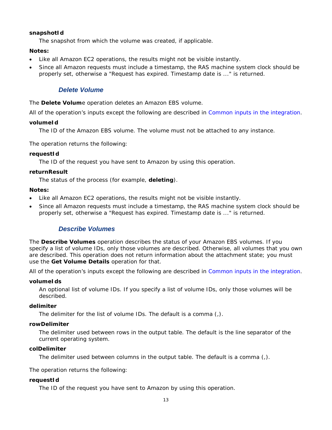# **snapshotId**

The snapshot from which the volume was created, if applicable.

# **Notes:**

- Like all Amazon EC2 operations, the results might not be visible instantly.
- Since all Amazon requests must include a timestamp, the RAS machine system clock should be properly set, otherwise a "Request has expired. Timestamp date is ..." is returned.

# *Delete Volume*

The **Delete Volum**e operation deletes an Amazon EBS volume.

All of the operation's inputs except the following are described in *[Common inputs in the integration](#page-10-0)*.

# **volumeId**

The ID of the Amazon EBS volume. The volume must not be attached to any instance.

The operation returns the following:

#### **requestId**

The ID of the request you have sent to Amazon by using this operation.

#### **returnResult**

The status of the process (for example, **deleting**).

#### **Notes:**

- Like all Amazon EC2 operations, the results might not be visible instantly.
- Since all Amazon requests must include a timestamp, the RAS machine system clock should be properly set, otherwise a "Request has expired. Timestamp date is ..." is returned.

# *Describe Volumes*

The **Describe Volumes** operation describes the status of your Amazon EBS volumes. If you specify a list of volume IDs, only those volumes are described. Otherwise, all volumes that you own are described. This operation does not return information about the attachment state; you must use the **Get Volume Details** operation for that.

All of the operation's inputs except the following are described in *[Common inputs in the integration](#page-10-0)*.

#### **volumeIds**

An optional list of volume IDs. If you specify a list of volume IDs, only those volumes will be described.

#### **delimiter**

The delimiter for the list of volume IDs. The default is a comma (,).

#### **rowDelimiter**

The delimiter used between rows in the output table. The default is the line separator of the current operating system.

#### **colDelimiter**

The delimiter used between columns in the output table. The default is a comma (,).

The operation returns the following:

#### **requestId**

The ID of the request you have sent to Amazon by using this operation.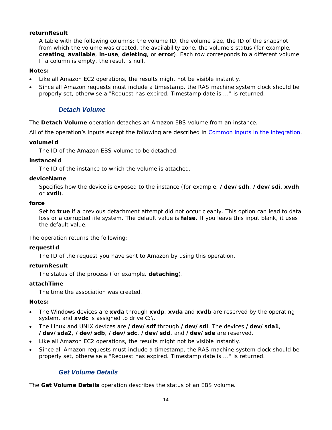# **returnResult**

A table with the following columns: the volume ID, the volume size, the ID of the snapshot from which the volume was created, the availability zone, the volume's status (for example, **creating**, **available**, **in-use**, **deleting**, or **error**). Each row corresponds to a different volume. If a column is empty, the result is null.

## **Notes:**

- Like all Amazon EC2 operations, the results might not be visible instantly.
- Since all Amazon requests must include a timestamp, the RAS machine system clock should be properly set, otherwise a "Request has expired. Timestamp date is ..." is returned.

# *Detach Volume*

The **Detach Volume** operation detaches an Amazon EBS volume from an instance.

All of the operation's inputs except the following are described in *[Common inputs in the integration](#page-10-0)*.

#### **volumeId**

The ID of the Amazon EBS volume to be detached.

#### **instanceId**

The ID of the instance to which the volume is attached.

#### **deviceName**

Specifies how the device is exposed to the instance (for example, **/dev/sdh**, **/dev/sdi**, **xvdh**, or **xvdi**).

#### **force**

Set to **true** if a previous detachment attempt did not occur cleanly. This option can lead to data loss or a corrupted file system. The default value is **false**. If you leave this input blank, it uses the default value.

The operation returns the following:

# **requestId**

The ID of the request you have sent to Amazon by using this operation.

#### **returnResult**

The status of the process (for example, **detaching**).

#### **attachTime**

The time the association was created.

### **Notes:**

- The Windows devices are **xvda** through **xvdp**. **xvda** and **xvdb** are reserved by the operating system, and **xvdc** is assigned to drive C:\.
- The Linux and UNIX devices are **/dev/sdf** through **/dev/sdl**. The devices **/dev/sda1**, **/dev/sda2**, **/dev/sdb**, **/dev/sdc**, **/dev/sdd**, and **/dev/sde** are reserved.
- Like all Amazon EC2 operations, the results might not be visible instantly.
- Since all Amazon requests must include a timestamp, the RAS machine system clock should be properly set, otherwise a "Request has expired. Timestamp date is ..." is returned.

# *Get Volume Details*

The **Get Volume Details** operation describes the status of an EBS volume.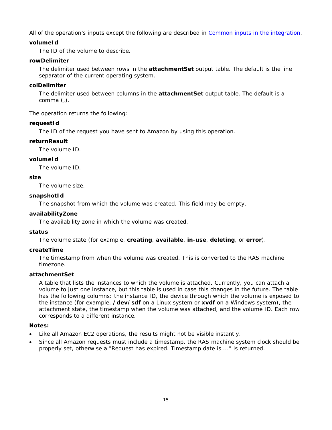All of the operation's inputs except the following are described in *[Common inputs in the integration](#page-10-0)*.

# **volumeId**

The ID of the volume to describe.

# **rowDelimiter**

The delimiter used between rows in the **attachmentSet** output table. The default is the line separator of the current operating system.

# **colDelimiter**

The delimiter used between columns in the **attachmentSet** output table. The default is a comma (,).

The operation returns the following:

# **requestId**

The ID of the request you have sent to Amazon by using this operation.

# **returnResult**

The volume ID.

# **volumeId**

The volume ID.

# **size**

The volume size.

# **snapshotId**

The snapshot from which the volume was created. This field may be empty.

# **availabilityZone**

The availability zone in which the volume was created.

# **status**

The volume state (for example, **creating**, **available**, **in-use**, **deleting**, or **error**).

# **createTime**

The timestamp from when the volume was created. This is converted to the RAS machine timezone.

# **attachmentSet**

A table that lists the instances to which the volume is attached. Currently, you can attach a volume to just one instance, but this table is used in case this changes in the future. The table has the following columns: the instance ID, the device through which the volume is exposed to the instance (for example, **/dev/sdf** on a Linux system or **xvdf** on a Windows system), the attachment state, the timestamp when the volume was attached, and the volume ID. Each row corresponds to a different instance.

# **Notes:**

- Like all Amazon EC2 operations, the results might not be visible instantly.
- Since all Amazon requests must include a timestamp, the RAS machine system clock should be properly set, otherwise a "Request has expired. Timestamp date is ..." is returned.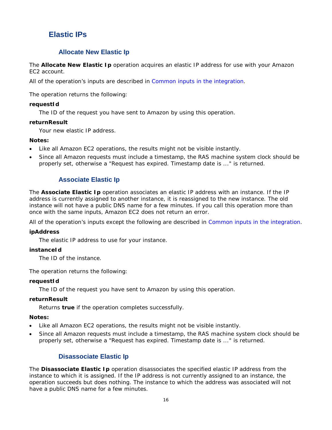# <span id="page-22-0"></span>**Elastic IPs**

# **Allocate New Elastic Ip**

<span id="page-22-1"></span>The **Allocate New Elastic Ip** operation acquires an elastic IP address for use with your Amazon EC2 account.

All of the operation's inputs are described in *[Common inputs in the integration](#page-10-0)*.

The operation returns the following:

## **requestId**

The ID of the request you have sent to Amazon by using this operation.

#### **returnResult**

Your new elastic IP address.

#### **Notes:**

- Like all Amazon EC2 operations, the results might not be visible instantly.
- <span id="page-22-2"></span>• Since all Amazon requests must include a timestamp, the RAS machine system clock should be properly set, otherwise a "Request has expired. Timestamp date is ..." is returned.

# **Associate Elastic Ip**

The **Associate Elastic Ip** operation associates an elastic IP address with an instance. If the IP address is currently assigned to another instance, it is reassigned to the new instance. The old instance will not have a public DNS name for a few minutes. If you call this operation more than once with the same inputs, Amazon EC2 does not return an error.

All of the operation's inputs except the following are described in *[Common inputs in the integration](#page-10-0)*.

#### **ipAddress**

The elastic IP address to use for your instance.

#### **instanceId**

The ID of the instance.

The operation returns the following:

#### **requestId**

The ID of the request you have sent to Amazon by using this operation.

#### **returnResult**

Returns **true** if the operation completes successfully.

#### **Notes:**

- Like all Amazon EC2 operations, the results might not be visible instantly.
- <span id="page-22-3"></span>• Since all Amazon requests must include a timestamp, the RAS machine system clock should be properly set, otherwise a "Request has expired. Timestamp date is ..." is returned.

# **Disassociate Elastic Ip**

The **Disassociate Elastic Ip** operation disassociates the specified elastic IP address from the instance to which it is assigned. If the IP address is not currently assigned to an instance, the operation succeeds but does nothing. The instance to which the address was associated will not have a public DNS name for a few minutes.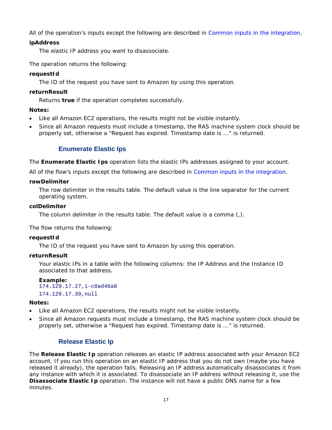All of the operation's inputs except the following are described in *[Common inputs in the integration](#page-10-0)*.

# **ipAddress**

The elastic IP address you want to disassociate.

The operation returns the following:

# **requestId**

The ID of the request you have sent to Amazon by using this operation.

# **returnResult**

Returns **true** if the operation completes successfully.

# **Notes:**

- Like all Amazon EC2 operations, the results might not be visible instantly.
- <span id="page-23-0"></span>• Since all Amazon requests must include a timestamp, the RAS machine system clock should be properly set, otherwise a "Request has expired. Timestamp date is ..." is returned.

# **Enumerate Elastic Ips**

The **Enumerate Elastic Ips** operation lists the elastic IPs addresses assigned to your account.

All of the flow's inputs except the following are described in *[Common inputs in the integration](#page-10-0)*.

# **rowDelimiter**

The row delimiter in the results table. The default value is the line separator for the current operating system.

# **colDelimiter**

The column delimiter in the results table. The default value is a comma (,).

The flow returns the following:

# **requestId**

The ID of the request you have sent to Amazon by using this operation.

# **returnResult**

Your elastic IPs in a table with the following columns: the IP Address and the Instance ID associated to that address.

**Example:**  174.129.17.27,i-c0ad46a8 174.129.17.39,null

# **Notes:**

- Like all Amazon EC2 operations, the results might not be visible instantly.
- <span id="page-23-1"></span>• Since all Amazon requests must include a timestamp, the RAS machine system clock should be properly set, otherwise a "Request has expired. Timestamp date is ..." is returned.

# **Release Elastic Ip**

The **Release Elastic Ip** operation releases an elastic IP address associated with your Amazon EC2 account. If you run this operation on an elastic IP address that you do not own (maybe you have released it already), the operation fails. Releasing an IP address automatically disassociates it from any instance with which it is associated. To disassociate an IP address without releasing it, use the **Disassociate Elastic Ip** operation. The instance will not have a public DNS name for a few minutes.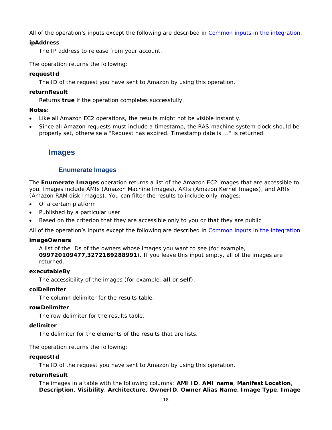All of the operation's inputs except the following are described in *[Common inputs in the integration](#page-10-0)*.

## **ipAddress**

The IP address to release from your account.

The operation returns the following:

#### **requestId**

The ID of the request you have sent to Amazon by using this operation.

#### **returnResult**

Returns **true** if the operation completes successfully.

#### **Notes:**

- Like all Amazon EC2 operations, the results might not be visible instantly.
- <span id="page-24-0"></span>• Since all Amazon requests must include a timestamp, the RAS machine system clock should be properly set, otherwise a "Request has expired. Timestamp date is ..." is returned.

# **Images**

# **Enumerate Images**

<span id="page-24-1"></span>The **Enumerate Images** operation returns a list of the Amazon EC2 images that are accessible to you. Images include AMIs (Amazon Machine Images), AKIs (Amazon Kernel Images), and ARIs (Amazon RAM disk Images). You can filter the results to include only images:

- Of a certain platform
- Published by a particular user
- Based on the criterion that they are accessible only to you or that they are public

All of the operation's inputs except the following are described in *[Common inputs in the integration](#page-10-0)*.

#### **imageOwners**

A list of the IDs of the owners whose images you want to see (for example, **099720109477,3272169288991**). If you leave this input empty, all of the images are returned.

#### **executableBy**

The accessibility of the images (for example, **all** or **self**).

#### **colDelimiter**

The column delimiter for the results table.

#### **rowDelimiter**

The row delimiter for the results table.

#### **delimiter**

The delimiter for the elements of the results that are lists.

The operation returns the following:

#### **requestId**

The ID of the request you have sent to Amazon by using this operation.

#### **returnResult**

The images in a table with the following columns: **AMI ID**, **AMI name**, **Manifest Location**, **Description**, **Visibility**, **Architecture**, **OwnerID**, **Owner Alias Name**, **Image Type**, **Image**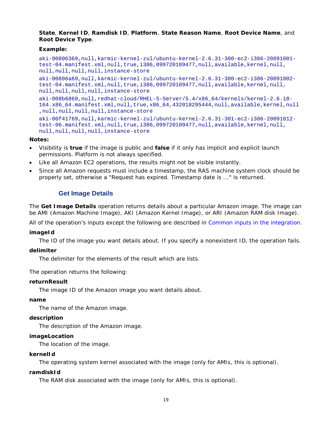**State**, **Kernel ID**, **Ramdisk ID**, **Platform**, **State Reason Name**, **Root Device Name**, and **Root Device Type**.

# **Example:**

```
aki-00806369,null,karmic-kernel-zul/ubuntu-kernel-2.6.31-300-ec2-i386-20091001-
test-04.manifest.xml,null,true,i386,099720109477,null,available,kernel,null,
null,null,null,null,instance-store
aki-00896a69,null,karmic-kernel-zul/ubuntu-kernel-2.6.31-300-ec2-i386-20091002-
test-04.manifest.xml,null,true,i386,099720109477,null,available,kernel,null,
null,null,null,null,instance-store
aki-008b6869,null,redhat-cloud/RHEL-5-Server/5.4/x86_64/kernels/kernel-2.6.18-
164.x86_64.manifest.xml,null,true,x86_64,432018295444,null,available,kernel,null
,null,null,null,null,instance-store
aki-00f41769,null,karmic-kernel-zul/ubuntu-kernel-2.6.31-301-ec2-i386-20091012-
test-06.manifest.xml,null,true,i386,099720109477,null,available,kernel,null,
null,null,null,null,instance-store
```
# **Notes:**

- Visibility is **true** if the image is public and **false** if it only has implicit and explicit launch permissions. Platform is not always specified.
- Like all Amazon EC2 operations, the results might not be visible instantly.
- <span id="page-25-0"></span>• Since all Amazon requests must include a timestamp, the RAS machine system clock should be properly set, otherwise a "Request has expired. Timestamp date is ..." is returned.

# **Get Image Details**

The **Get Image Details** operation returns details about a particular Amazon image. The image can be AMI (Amazon Machine Image), AKI (Amazon Kernel Image), or ARI (Amazon RAM disk Image).

All of the operation's inputs except the following are described in *[Common inputs in the integration](#page-10-0)*.

# **imageId**

The ID of the image you want details about. If you specify a nonexistent ID, the operation fails.

#### **delimiter**

The delimiter for the elements of the result which are lists.

The operation returns the following:

# **returnResult**

The image ID of the Amazon image you want details about.

#### **name**

The name of the Amazon image.

#### **description**

The description of the Amazon image.

# **imageLocation**

The location of the image.

#### **kernelId**

The operating system kernel associated with the image (only for AMIs, this is optional).

# **ramdiskId**

The RAM disk associated with the image (only for AMIs, this is optional).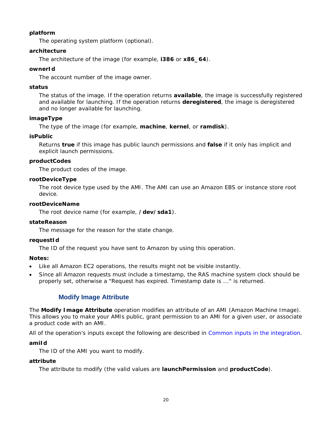# **platform**

The operating system platform (optional).

# **architecture**

The architecture of the image (for example, **i386** or **x86\_64**).

# **ownerId**

The account number of the image owner.

# **status**

The status of the image. If the operation returns **available**, the image is successfully registered and available for launching. If the operation returns **deregistered**, the image is deregistered and no longer available for launching.

# **imageType**

The type of the image (for example, **machine**, **kernel**, or **ramdisk**).

# **isPublic**

Returns **true** if this image has public launch permissions and **false** if it only has implicit and explicit launch permissions.

# **productCodes**

The product codes of the image.

# **rootDeviceType**

The root device type used by the AMI. The AMI can use an Amazon EBS or instance store root device.

# **rootDeviceName**

The root device name (for example, **/dev/sda1**).

# **stateReason**

The message for the reason for the state change.

# **requestId**

The ID of the request you have sent to Amazon by using this operation.

# **Notes:**

- Like all Amazon EC2 operations, the results might not be visible instantly.
- <span id="page-26-0"></span>• Since all Amazon requests must include a timestamp, the RAS machine system clock should be properly set, otherwise a "Request has expired. Timestamp date is ..." is returned.

# **Modify Image Attribute**

The **Modify Image Attribute** operation modifies an attribute of an AMI (Amazon Machine Image). This allows you to make your AMIs public, grant permission to an AMI for a given user, or associate a product code with an AMI.

All of the operation's inputs except the following are described in *[Common inputs in the integration](#page-10-0)*.

# **amiId**

The ID of the AMI you want to modify.

# **attribute**

The attribute to modify (the valid values are **launchPermission** and **productCode**).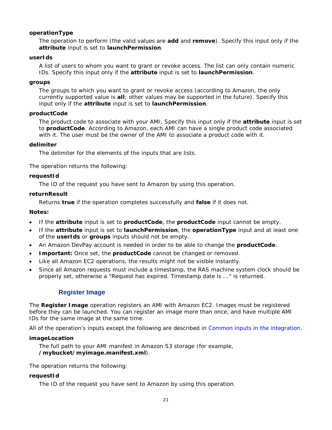# **operationType**

The operation to perform (the valid values are **add** and **remove**). Specify this input only if the **attribute** input is set to **launchPermission**.

#### **userIds**

A list of users to whom you want to grant or revoke access. The list can only contain numeric IDs. Specify this input only if the **attribute** input is set to **launchPermission**.

#### **groups**

The groups to which you want to grant or revoke access (according to Amazon, the only currently supported value is **all**; other values may be supported in the future). Specify this input only if the **attribute** input is set to **launchPermission**.

#### **productCode**

The product code to associate with your AMI. Specify this input only if the **attribute** input is set to **productCode**. According to Amazon, each AMI can have a single product code associated with it. The user must be the owner of the AMI to associate a product code with it.

#### **delimiter**

The delimiter for the elements of the inputs that are lists.

The operation returns the following:

#### **requestId**

The ID of the request you have sent to Amazon by using this operation.

#### **returnResult**

Returns **true** if the operation completes successfully and **false** if it does not.

#### **Notes:**

- If the **attribute** input is set to **productCode**, the **productCode** input cannot be empty.
- If the **attribute** input is set to **launchPermission**, the **operationType** input and at least one of the **userIds** or **groups** inputs should not be empty.
- An Amazon DevPay account is needed in order to be able to change the **productCode**.
- **Important:** Once set, the **productCode** cannot be changed or removed.
- Like all Amazon EC2 operations, the results might not be visible instantly.
- <span id="page-27-0"></span>• Since all Amazon requests must include a timestamp, the RAS machine system clock should be properly set, otherwise a "Request has expired. Timestamp date is ..." is returned.

# **Register Image**

The **Register Image** operation registers an AMI with Amazon EC2. Images must be registered before they can be launched. You can register an image more than once, and have multiple AMI IDs for the same image at the same time.

All of the operation's inputs except the following are described in *[Common inputs in the integration](#page-10-0)*.

#### **imageLocation**

The full path to your AMI manifest in Amazon S3 storage (for example, **/mybucket/myimage.manifest.xml**).

The operation returns the following:

#### **requestId**

The ID of the request you have sent to Amazon by using this operation.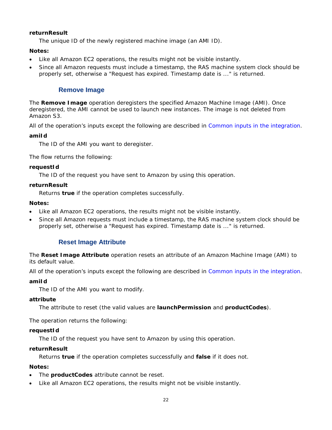# **returnResult**

The unique ID of the newly registered machine image (an AMI ID).

# **Notes:**

- Like all Amazon EC2 operations, the results might not be visible instantly.
- <span id="page-28-0"></span>• Since all Amazon requests must include a timestamp, the RAS machine system clock should be properly set, otherwise a "Request has expired. Timestamp date is ..." is returned.

# **Remove Image**

The **Remove Image** operation deregisters the specified Amazon Machine Image (AMI). Once deregistered, the AMI cannot be used to launch new instances. The image is not deleted from Amazon S3.

All of the operation's inputs except the following are described in *[Common inputs in the integration](#page-10-0)*.

# **amiId**

The ID of the AMI you want to deregister.

The flow returns the following:

#### **requestId**

The ID of the request you have sent to Amazon by using this operation.

# **returnResult**

Returns **true** if the operation completes successfully.

#### **Notes:**

- Like all Amazon EC2 operations, the results might not be visible instantly.
- <span id="page-28-1"></span>• Since all Amazon requests must include a timestamp, the RAS machine system clock should be properly set, otherwise a "Request has expired. Timestamp date is ..." is returned.

# **Reset Image Attribute**

The **Reset Image Attribute** operation resets an attribute of an Amazon Machine Image (AMI) to its default value.

All of the operation's inputs except the following are described in *[Common inputs in the integration](#page-10-0)*.

# **amiId**

The ID of the AMI you want to modify.

#### **attribute**

The attribute to reset (the valid values are **launchPermission** and **productCodes**).

The operation returns the following:

# **requestId**

The ID of the request you have sent to Amazon by using this operation.

# **returnResult**

Returns **true** if the operation completes successfully and **false** if it does not.

# **Notes:**

- The **productCodes** attribute cannot be reset.
- Like all Amazon EC2 operations, the results might not be visible instantly.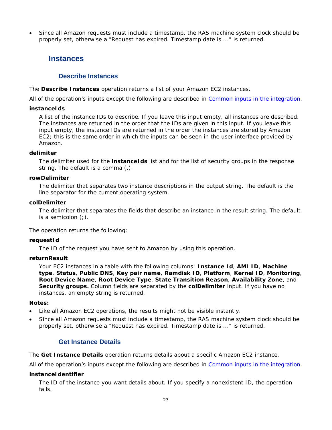<span id="page-29-0"></span>• Since all Amazon requests must include a timestamp, the RAS machine system clock should be properly set, otherwise a "Request has expired. Timestamp date is ..." is returned.

# **Instances**

# **Describe Instances**

<span id="page-29-1"></span>The **Describe Instances** operation returns a list of your Amazon EC2 instances.

All of the operation's inputs except the following are described in *[Common inputs in the integration](#page-10-0)*.

#### **instanceIds**

A list of the instance IDs to describe. If you leave this input empty, all instances are described. The instances are returned in the order that the IDs are given in this input. If you leave this input empty, the instance IDs are returned in the order the instances are stored by Amazon EC2; this is the same order in which the inputs can be seen in the user interface provided by Amazon.

#### **delimiter**

The delimiter used for the **instanceIds** list and for the list of security groups in the response string. The default is a comma (.).

#### **rowDelimiter**

The delimiter that separates two instance descriptions in the output string. The default is the line separator for the current operating system.

#### **colDelimiter**

The delimiter that separates the fields that describe an instance in the result string. The default is a semicolon  $($ ;  $)$ .

The operation returns the following:

# **requestId**

The ID of the request you have sent to Amazon by using this operation.

# **returnResult**

Your EC2 instances in a table with the following columns: **Instance Id**, **AMI ID**, **Machine type**, **Status**, **Public DNS**, **Key pair name**, **Ramdisk ID**, **Platform**, **Kernel ID**, **Monitoring**, **Root Device Name**, **Root Device Type**, **State Transition Reason**, **Availability Zone**, and **Security groups.** Column fields are separated by the **colDelimiter** input. If you have no instances, an empty string is returned.

#### **Notes:**

- Like all Amazon EC2 operations, the results might not be visible instantly.
- <span id="page-29-2"></span>• Since all Amazon requests must include a timestamp, the RAS machine system clock should be properly set, otherwise a "Request has expired. Timestamp date is ..." is returned.

# **Get Instance Details**

The **Get Instance Details** operation returns details about a specific Amazon EC2 instance.

All of the operation's inputs except the following are described in *[Common inputs in the integration](#page-10-0)*.

# **instanceIdentifier**

The ID of the instance you want details about. If you specify a nonexistent ID, the operation fails.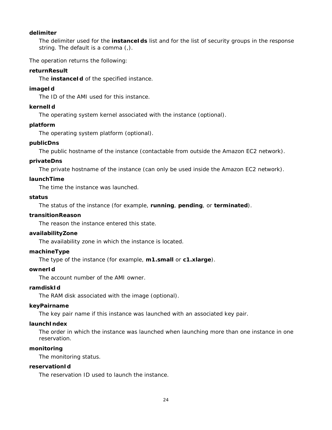#### **delimiter**

The delimiter used for the **instanceIds** list and for the list of security groups in the response string. The default is a comma (,).

The operation returns the following:

## **returnResult**

The **instanceId** of the specified instance.

## **imageId**

The ID of the AMI used for this instance.

#### **kernelId**

The operating system kernel associated with the instance (optional).

#### **platform**

The operating system platform (optional).

#### **publicDns**

The public hostname of the instance (contactable from outside the Amazon EC2 network).

#### **privateDns**

The private hostname of the instance (can only be used inside the Amazon EC2 network).

#### **launchTime**

The time the instance was launched.

#### **status**

The status of the instance (for example, **running**, **pending**, or **terminated**).

#### **transitionReason**

The reason the instance entered this state.

#### **availabilityZone**

The availability zone in which the instance is located.

#### **machineType**

The type of the instance (for example, **m1.small** or **c1.xlarge**).

#### **ownerId**

The account number of the AMI owner.

#### **ramdiskId**

The RAM disk associated with the image (optional).

#### **keyPairname**

The key pair name if this instance was launched with an associated key pair.

#### **launchIndex**

The order in which the instance was launched when launching more than one instance in one reservation.

# **monitoring**

The monitoring status.

# **reservationId**

The reservation ID used to launch the instance.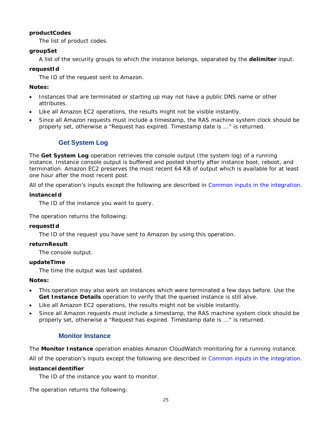# **productCodes**

The list of product codes.

# **groupSet**

A list of the security groups to which the instance belongs, separated by the **delimiter** input.

# **requestId**

The ID of the request sent to Amazon.

# **Notes:**

- Instances that are terminated or starting up may not have a public DNS name or other attributes.
- Like all Amazon EC2 operations, the results might not be visible instantly.
- <span id="page-31-0"></span>• Since all Amazon requests must include a timestamp, the RAS machine system clock should be properly set, otherwise a "Request has expired. Timestamp date is ..." is returned.

# **Get System Log**

The **Get System Log** operation retrieves the console output (the system log) of a running instance. Instance console output is buffered and posted shortly after instance boot, reboot, and termination. Amazon EC2 preserves the most recent 64 KB of output which is available for at least one hour after the most recent post.

All of the operation's inputs except the following are described in *[Common inputs in the integration](#page-10-0)*.

# **instanceId**

The ID of the instance you want to query.

The operation returns the following:

# **requestId**

The ID of the request you have sent to Amazon by using this operation.

# **returnResult**

The console output.

# **updateTime**

The time the output was last updated.

# **Notes:**

- This operation may also work on instances which were terminated a few days before. Use the **Get Instance Details** operation to verify that the queried instance is still alive.
- Like all Amazon EC2 operations, the results might not be visible instantly.
- <span id="page-31-1"></span>• Since all Amazon requests must include a timestamp, the RAS machine system clock should be properly set, otherwise a "Request has expired. Timestamp date is ..." is returned.

# **Monitor Instance**

The **Monitor Instance** operation enables Amazon CloudWatch monitoring for a running instance.

All of the operation's inputs except the following are described in *[Common inputs in the integration](#page-10-0)*.

# **instanceIdentifier**

The ID of the instance you want to monitor.

The operation returns the following: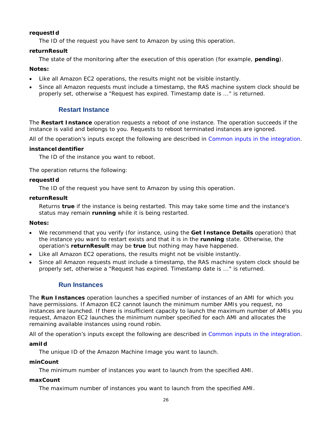# **requestId**

The ID of the request you have sent to Amazon by using this operation.

# **returnResult**

The state of the monitoring after the execution of this operation (for example, **pending**).

# **Notes:**

- Like all Amazon EC2 operations, the results might not be visible instantly.
- <span id="page-32-0"></span>• Since all Amazon requests must include a timestamp, the RAS machine system clock should be properly set, otherwise a "Request has expired. Timestamp date is ..." is returned.

# **Restart Instance**

The **Restart Instance** operation requests a reboot of one instance. The operation succeeds if the instance is valid and belongs to you. Requests to reboot terminated instances are ignored.

All of the operation's inputs except the following are described in *[Common inputs in the integration](#page-10-0)*.

# **instanceIdentifier**

The ID of the instance you want to reboot.

The operation returns the following:

#### **requestId**

The ID of the request you have sent to Amazon by using this operation.

#### **returnResult**

Returns **true** if the instance is being restarted. This may take some time and the instance's status may remain **running** while it is being restarted.

# **Notes:**

- We recommend that you verify (for instance, using the **Get Instance Details** operation) that the instance you want to restart exists and that it is in the **running** state. Otherwise, the operation's **returnResult** may be **true** but nothing may have happened.
- Like all Amazon EC2 operations, the results might not be visible instantly.
- <span id="page-32-1"></span>• Since all Amazon requests must include a timestamp, the RAS machine system clock should be properly set, otherwise a "Request has expired. Timestamp date is ..." is returned.

# **Run Instances**

The **Run Instances** operation launches a specified number of instances of an AMI for which you have permissions. If Amazon EC2 cannot launch the minimum number AMIs you request, no instances are launched. If there is insufficient capacity to launch the maximum number of AMIs you request, Amazon EC2 launches the minimum number specified for each AMI and allocates the remaining available instances using round robin.

All of the operation's inputs except the following are described in *[Common inputs in the integration](#page-10-0)*.

# **amiId**

The unique ID of the Amazon Machine Image you want to launch.

# **minCount**

The minimum number of instances you want to launch from the specified AMI.

#### **maxCount**

The maximum number of instances you want to launch from the specified AMI.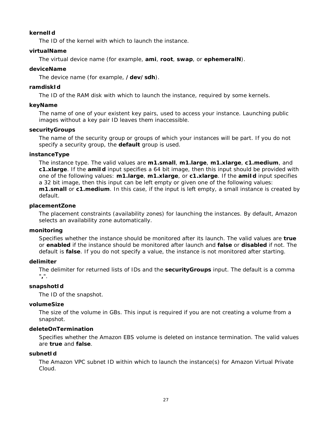# **kernelId**

The ID of the kernel with which to launch the instance.

# **virtualName**

The virtual device name (for example, **ami**, **root**, **swap**, or **ephemeralN**).

#### **deviceName**

The device name (for example, **/dev/sdh**).

#### **ramdiskId**

The ID of the RAM disk with which to launch the instance, required by some kernels.

#### **keyName**

The name of one of your existent key pairs, used to access your instance. Launching public images without a key pair ID leaves them inaccessible.

#### **securityGroups**

The name of the security group or groups of which your instances will be part. If you do not specify a security group, the **default** group is used.

#### **instanceType**

The instance type. The valid values are **m1.small**, **m1.large**, **m1.xlarge**, **c1.medium**, and **c1.xlarge**. If the **amiId** input specifies a 64 bit image, then this input should be provided with one of the following values: **m1.large**, **m1.xlarge**, or **c1.xlarge**. If the **amiId** input specifies a 32 bit image, then this input can be left empty or given one of the following values: **m1.small** or **c1.medium**. In this case, if the input is left empty, a small instance is created by default.

#### **placementZone**

The placement constraints (availability zones) for launching the instances. By default, Amazon selects an availability zone automatically.

#### **monitoring**

Specifies whether the instance should be monitored after its launch. The valid values are **true** or **enabled** if the instance should be monitored after launch and **false** or **disabled** if not. The default is **false**. If you do not specify a value, the instance is not monitored after starting.

#### **delimiter**

The delimiter for returned lists of IDs and the **securityGroups** input. The default is a comma "**,**".

# **snapshotId**

The ID of the snapshot.

#### **volumeSize**

The size of the volume in GBs. This input is required if you are not creating a volume from a snapshot.

#### **deleteOnTermination**

Specifies whether the Amazon EBS volume is deleted on instance termination. The valid values are **true** and **false**.

#### **subnetId**

The Amazon VPC subnet ID within which to launch the instance(s) for Amazon Virtual Private Cloud.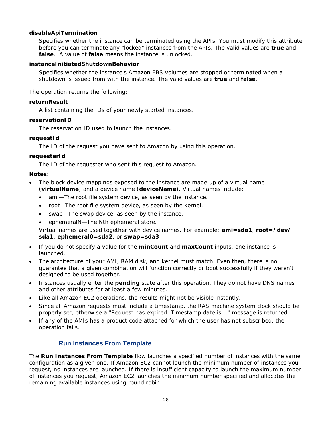# **disableApiTermination**

Specifies whether the instance can be terminated using the APIs. You must modify this attribute before you can terminate any "locked" instances from the APIs. The valid values are **true** and **false**. A value of **false** means the instance is unlocked.

## **instanceInitiatedShutdownBehavior**

Specifies whether the instance's Amazon EBS volumes are stopped or terminated when a shutdown is issued from with the instance. The valid values are **true** and **false**.

The operation returns the following:

#### **returnResult**

A list containing the IDs of your newly started instances.

#### **reservationID**

The reservation ID used to launch the instances.

# **requestId**

The ID of the request you have sent to Amazon by using this operation.

#### **requesterId**

The ID of the requester who sent this request to Amazon.

#### **Notes:**

- The block device mappings exposed to the instance are made up of a virtual name (**virtualName**) and a device name (**deviceName**). Virtual names include:
	- ami-The root file system device, as seen by the instance.
	- root—The root file system device, as seen by the kernel.
	- swap—The swap device, as seen by the instance.
	- ephemeralN—The Nth ephemeral store.

Virtual names are used together with device names. For example: **ami=sda1**, **root=/dev/ sda1**, **ephemeral0=sda2**, or **swap=sda3**.

- If you do not specify a value for the **minCount** and **maxCount** inputs, one instance is launched.
- The architecture of your AMI, RAM disk, and kernel must match. Even then, there is no guarantee that a given combination will function correctly or boot successfully if they weren't designed to be used together.
- Instances usually enter the **pending** state after this operation. They do not have DNS names and other attributes for at least a few minutes.
- Like all Amazon EC2 operations, the results might not be visible instantly.
- Since all Amazon requests must include a timestamp, the RAS machine system clock should be properly set, otherwise a "Request has expired. Timestamp date is …" message is returned.
- <span id="page-34-0"></span>• If any of the AMIs has a product code attached for which the user has not subscribed, the operation fails.

# **Run Instances From Template**

The **Run Instances From Template** flow launches a specified number of instances with the same configuration as a given one. If Amazon EC2 cannot launch the minimum number of instances you request, no instances are launched. If there is insufficient capacity to launch the maximum number of instances you request, Amazon EC2 launches the minimum number specified and allocates the remaining available instances using round robin.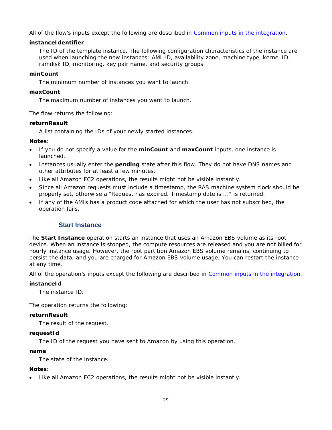All of the flow's inputs except the following are described in *[Common inputs in the integration](#page-10-0)*.

# **instanceIdentifier**

The ID of the template instance. The following configuration characteristics of the instance are used when launching the new instances: AMI ID, availability zone, machine type, kernel ID, ramdisk ID, monitoring, key pair name, and security groups.

# **minCount**

The minimum number of instances you want to launch.

## **maxCount**

The maximum number of instances you want to launch.

The flow returns the following:

#### **returnResult**

A list containing the IDs of your newly started instances.

# **Notes:**

- If you do not specify a value for the **minCount** and **maxCount** inputs, one instance is launched.
- Instances usually enter the **pending** state after this flow. They do not have DNS names and other attributes for at least a few minutes.
- Like all Amazon EC2 operations, the results might not be visible instantly.
- Since all Amazon requests must include a timestamp, the RAS machine system clock should be properly set, otherwise a "Request has expired. Timestamp date is ..." is returned.
- <span id="page-35-0"></span>• If any of the AMIs has a product code attached for which the user has not subscribed, the operation fails.

# **Start Instance**

The **Start Instance** operation starts an instance that uses an Amazon EBS volume as its root device. When an instance is stopped, the compute resources are released and you are not billed for hourly instance usage. However, the root partition Amazon EBS volume remains, continuing to persist the data, and you are charged for Amazon EBS volume usage. You can restart the instance at any time.

All of the operation's inputs except the following are described in *[Common inputs in the integration](#page-10-0)*.

# **instanceId**

The instance ID.

The operation returns the following:

# **returnResult**

The result of the request.

# **requestId**

The ID of the request you have sent to Amazon by using this operation.

# **name**

The state of the instance.

# **Notes:**

• Like all Amazon EC2 operations, the results might not be visible instantly.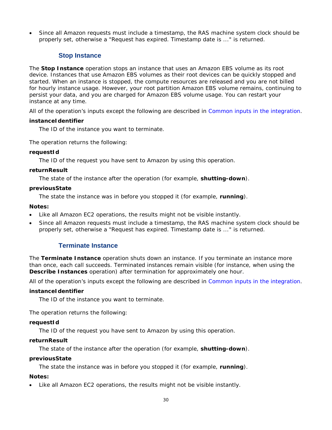<span id="page-36-0"></span>• Since all Amazon requests must include a timestamp, the RAS machine system clock should be properly set, otherwise a "Request has expired. Timestamp date is ..." is returned.

# **Stop Instance**

The **Stop Instance** operation stops an instance that uses an Amazon EBS volume as its root device. Instances that use Amazon EBS volumes as their root devices can be quickly stopped and started. When an instance is stopped, the compute resources are released and you are not billed for hourly instance usage. However, your root partition Amazon EBS volume remains, continuing to persist your data, and you are charged for Amazon EBS volume usage. You can restart your instance at any time.

All of the operation's inputs except the following are described in *[Common inputs in the integration](#page-10-0)*.

#### **instanceIdentifier**

The ID of the instance you want to terminate.

The operation returns the following:

#### **requestId**

The ID of the request you have sent to Amazon by using this operation.

#### **returnResult**

The state of the instance after the operation (for example, **shutting-down**).

#### **previousState**

The state the instance was in before you stopped it (for example, **running**).

#### **Notes:**

- Like all Amazon EC2 operations, the results might not be visible instantly.
- <span id="page-36-1"></span>• Since all Amazon requests must include a timestamp, the RAS machine system clock should be properly set, otherwise a "Request has expired. Timestamp date is ..." is returned.

# **Terminate Instance**

The **Terminate Instance** operation shuts down an instance. If you terminate an instance more than once, each call succeeds. Terminated instances remain visible (for instance, when using the **Describe Instances** operation) after termination for approximately one hour.

All of the operation's inputs except the following are described in *[Common inputs in the integration](#page-10-0)*.

#### **instanceIdentifier**

The ID of the instance you want to terminate.

The operation returns the following:

#### **requestId**

The ID of the request you have sent to Amazon by using this operation.

#### **returnResult**

The state of the instance after the operation (for example, **shutting-down**).

#### **previousState**

The state the instance was in before you stopped it (for example, **running**).

#### **Notes:**

• Like all Amazon EC2 operations, the results might not be visible instantly.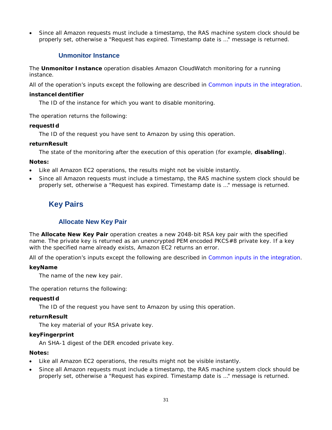<span id="page-37-0"></span>• Since all Amazon requests must include a timestamp, the RAS machine system clock should be properly set, otherwise a "Request has expired. Timestamp date is …" message is returned.

# **Unmonitor Instance**

The **Unmonitor Instance** operation disables Amazon CloudWatch monitoring for a running instance.

All of the operation's inputs except the following are described in *[Common inputs in the integration](#page-10-0)*.

#### **instanceIdentifier**

The ID of the instance for which you want to disable monitoring.

The operation returns the following:

#### **requestId**

The ID of the request you have sent to Amazon by using this operation.

# **returnResult**

The state of the monitoring after the execution of this operation (for example, **disabling**).

#### **Notes:**

- Like all Amazon EC2 operations, the results might not be visible instantly.
- <span id="page-37-1"></span>• Since all Amazon requests must include a timestamp, the RAS machine system clock should be properly set, otherwise a "Request has expired. Timestamp date is …" message is returned.

# **Key Pairs**

# **Allocate New Key Pair**

<span id="page-37-2"></span>The **Allocate New Key Pair** operation creates a new 2048-bit RSA key pair with the specified name. The private key is returned as an unencrypted PEM encoded PKCS#8 private key. If a key with the specified name already exists, Amazon EC2 returns an error.

All of the operation's inputs except the following are described in *[Common inputs in the integration](#page-10-0)*.

# **keyName**

The name of the new key pair.

The operation returns the following:

#### **requestId**

The ID of the request you have sent to Amazon by using this operation.

#### **returnResult**

The key material of your RSA private key.

#### **keyFingerprint**

An SHA-1 digest of the DER encoded private key.

#### **Notes:**

- Like all Amazon EC2 operations, the results might not be visible instantly.
- Since all Amazon requests must include a timestamp, the RAS machine system clock should be properly set, otherwise a "Request has expired. Timestamp date is …" message is returned.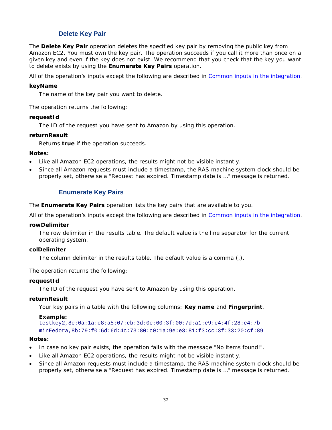# **Delete Key Pair**

<span id="page-38-0"></span>The **Delete Key Pair** operation deletes the specified key pair by removing the public key from Amazon EC2. You must own the key pair. The operation succeeds if you call it more than once on a given key and even if the key does not exist. We recommend that you check that the key you want to delete exists by using the **Enumerate Key Pairs** operation.

All of the operation's inputs except the following are described in *[Common inputs in the integration](#page-10-0)*.

## **keyName**

The name of the key pair you want to delete.

The operation returns the following:

#### **requestId**

The ID of the request you have sent to Amazon by using this operation.

#### **returnResult**

Returns **true** if the operation succeeds.

#### **Notes:**

- Like all Amazon EC2 operations, the results might not be visible instantly.
- <span id="page-38-1"></span>• Since all Amazon requests must include a timestamp, the RAS machine system clock should be properly set, otherwise a "Request has expired. Timestamp date is …" message is returned.

# **Enumerate Key Pairs**

The **Enumerate Key Pairs** operation lists the key pairs that are available to you.

All of the operation's inputs except the following are described in *[Common inputs in the integration](#page-10-0)*.

#### **rowDelimiter**

The row delimiter in the results table. The default value is the line separator for the current operating system.

#### **colDelimiter**

The column delimiter in the results table. The default value is a comma (,).

The operation returns the following:

#### **requestId**

The ID of the request you have sent to Amazon by using this operation.

#### **returnResult**

Your key pairs in a table with the following columns: **Key name** and **Fingerprint**.

#### **Example:**

testkey2,8c:0a:1a:c8:a5:07:cb:3d:0e:60:3f:00:7d:a1:e9:c4:4f:28:e4:7b minFedora,8b:79:f0:6d:6d:4c:73:80:c0:1a:9e:e3:81:f3:cc:3f:33:20:cf:89

#### **Notes:**

- In case no key pair exists, the operation fails with the message "No items found!".
- Like all Amazon EC2 operations, the results might not be visible instantly.
- Since all Amazon requests must include a timestamp, the RAS machine system clock should be properly set, otherwise a "Request has expired. Timestamp date is …" message is returned.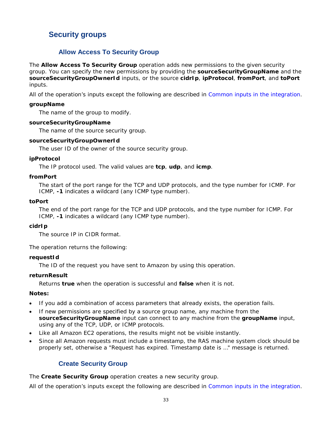# <span id="page-39-0"></span>**Security groups**

# **Allow Access To Security Group**

<span id="page-39-1"></span>The **Allow Access To Security Group** operation adds new permissions to the given security group. You can specify the new permissions by providing the **sourceSecurityGroupName** and the **sourceSecurityGroupOwnerId** inputs, or the source **cidrIp**, **ipProtocol**, **fromPort**, and **toPort** inputs.

All of the operation's inputs except the following are described in *[Common inputs in the integration](#page-10-0)*.

## **groupName**

The name of the group to modify.

#### **sourceSecurityGroupName**

The name of the source security group.

#### **sourceSecurityGroupOwnerId**

The user ID of the owner of the source security group.

#### **ipProtocol**

The IP protocol used. The valid values are **tcp**, **udp**, and **icmp**.

### **fromPort**

The start of the port range for the TCP and UDP protocols, and the type number for ICMP. For ICMP, **-1** indicates a wildcard (any ICMP type number).

#### **toPort**

The end of the port range for the TCP and UDP protocols, and the type number for ICMP. For ICMP, **-1** indicates a wildcard (any ICMP type number).

# **cidrIp**

The source IP in CIDR format.

The operation returns the following:

#### **requestId**

The ID of the request you have sent to Amazon by using this operation.

#### **returnResult**

Returns **true** when the operation is successful and **false** when it is not.

#### **Notes:**

- If you add a combination of access parameters that already exists, the operation fails.
- If new permissions are specified by a source group name, any machine from the **sourceSecurityGroupName** input can connect to any machine from the **groupName** input, using any of the TCP, UDP, or ICMP protocols.
- Like all Amazon EC2 operations, the results might not be visible instantly.
- <span id="page-39-2"></span>• Since all Amazon requests must include a timestamp, the RAS machine system clock should be properly set, otherwise a "Request has expired. Timestamp date is …" message is returned.

# **Create Security Group**

The **Create Security Group** operation creates a new security group.

All of the operation's inputs except the following are described in *[Common inputs in the integration](#page-10-0)*.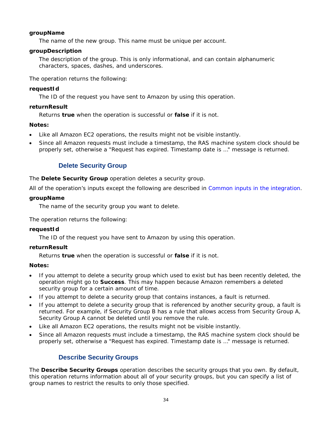# **groupName**

The name of the new group. This name must be unique per account.

# **groupDescription**

The description of the group. This is only informational, and can contain alphanumeric characters, spaces, dashes, and underscores.

The operation returns the following:

# **requestId**

The ID of the request you have sent to Amazon by using this operation.

# **returnResult**

Returns **true** when the operation is successful or **false** if it is not.

# **Notes:**

- Like all Amazon EC2 operations, the results might not be visible instantly.
- <span id="page-40-0"></span>• Since all Amazon requests must include a timestamp, the RAS machine system clock should be properly set, otherwise a "Request has expired. Timestamp date is …" message is returned.

# **Delete Security Group**

# The **Delete Security Group** operation deletes a security group.

All of the operation's inputs except the following are described in *[Common inputs in the integration](#page-10-0)*.

# **groupName**

The name of the security group you want to delete.

The operation returns the following:

# **requestId**

The ID of the request you have sent to Amazon by using this operation.

# **returnResult**

Returns **true** when the operation is successful or **false** if it is not.

# **Notes:**

- If you attempt to delete a security group which used to exist but has been recently deleted, the operation might go to **Success**. This may happen because Amazon remembers a deleted security group for a certain amount of time.
- If you attempt to delete a security group that contains instances, a fault is returned.
- If you attempt to delete a security group that is referenced by another security group, a fault is returned. For example, if Security Group B has a rule that allows access from Security Group A, Security Group A cannot be deleted until you remove the rule.
- Like all Amazon EC2 operations, the results might not be visible instantly.
- <span id="page-40-1"></span>• Since all Amazon requests must include a timestamp, the RAS machine system clock should be properly set, otherwise a "Request has expired. Timestamp date is …" message is returned.

# **Describe Security Groups**

The **Describe Security Groups** operation describes the security groups that you own. By default, this operation returns information about all of your security groups, but you can specify a list of group names to restrict the results to only those specified.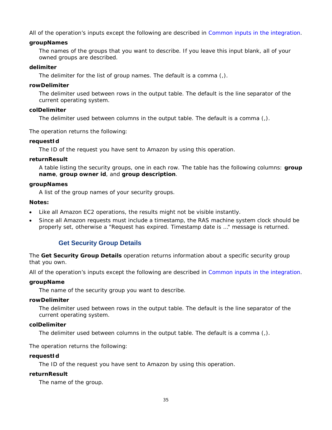All of the operation's inputs except the following are described in *[Common inputs in the integration](#page-10-0)*.

#### **groupNames**

The names of the groups that you want to describe. If you leave this input blank, all of your owned groups are described.

#### **delimiter**

The delimiter for the list of group names. The default is a comma (,).

#### **rowDelimiter**

The delimiter used between rows in the output table. The default is the line separator of the current operating system.

#### **colDelimiter**

The delimiter used between columns in the output table. The default is a comma (,).

The operation returns the following:

#### **requestId**

The ID of the request you have sent to Amazon by using this operation.

#### **returnResult**

A table listing the security groups, one in each row. The table has the following columns: **group name**, **group owner id**, and **group description**.

#### **groupNames**

A list of the group names of your security groups.

#### **Notes:**

- Like all Amazon EC2 operations, the results might not be visible instantly.
- <span id="page-41-0"></span>• Since all Amazon requests must include a timestamp, the RAS machine system clock should be properly set, otherwise a "Request has expired. Timestamp date is …" message is returned.

# **Get Security Group Details**

The **Get Security Group Details** operation returns information about a specific security group that you own.

All of the operation's inputs except the following are described in *[Common inputs in the integration](#page-10-0)*.

#### **groupName**

The name of the security group you want to describe.

#### **rowDelimiter**

The delimiter used between rows in the output table. The default is the line separator of the current operating system.

#### **colDelimiter**

The delimiter used between columns in the output table. The default is a comma (,).

The operation returns the following:

#### **requestId**

The ID of the request you have sent to Amazon by using this operation.

#### **returnResult**

The name of the group.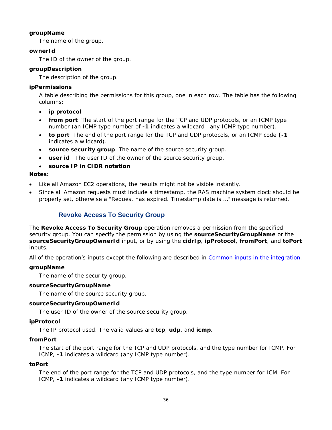# **groupName**

The name of the group.

# **ownerId**

The ID of the owner of the group.

# **groupDescription**

The description of the group.

# **ipPermissions**

A table describing the permissions for this group, one in each row. The table has the following columns:

- **ip protocol**
- **from port** The start of the port range for the TCP and UDP protocols, or an ICMP type number (an ICMP type number of **-1** indicates a wildcard—any ICMP type number).
- **to port** The end of the port range for the TCP and UDP protocols, or an ICMP code **(-1** indicates a wildcard).
- **source security group** The name of the source security group.
- **user id** The user ID of the owner of the source security group.

# • **source IP in CIDR notation**

# **Notes:**

- Like all Amazon EC2 operations, the results might not be visible instantly.
- <span id="page-42-0"></span>• Since all Amazon requests must include a timestamp, the RAS machine system clock should be properly set, otherwise a "Request has expired. Timestamp date is …" message is returned.

# **Revoke Access To Security Group**

The **Revoke Access To Security Group** operation removes a permission from the specified security group. You can specify the permission by using the **sourceSecurityGroupName** or the **sourceSecurityGroupOwnerId** input, or by using the **cidrIp**, **ipProtocol**, **fromPort**, and **toPort** inputs.

All of the operation's inputs except the following are described in *[Common inputs in the integration](#page-10-0)*.

# **groupName**

The name of the security group.

# **sourceSecurityGroupName**

The name of the source security group.

# **sourceSecurityGroupOwnerId**

The user ID of the owner of the source security group.

# **ipProtocol**

The IP protocol used. The valid values are **tcp**, **udp**, and **icmp**.

# **fromPort**

The start of the port range for the TCP and UDP protocols, and the type number for ICMP. For ICMP, **-1** indicates a wildcard (any ICMP type number).

# **toPort**

The end of the port range for the TCP and UDP protocols, and the type number for ICM. For ICMP, **-1** indicates a wildcard (any ICMP type number).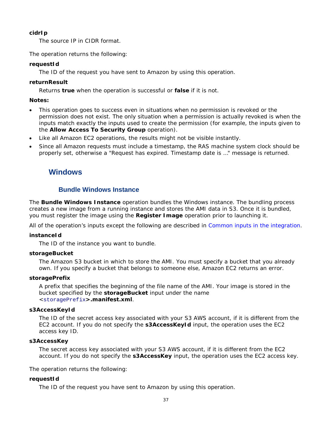# **cidrIp**

The source IP in CIDR format.

The operation returns the following:

#### **requestId**

The ID of the request you have sent to Amazon by using this operation.

#### **returnResult**

Returns **true** when the operation is successful or **false** if it is not.

#### **Notes:**

- This operation goes to success even in situations when no permission is revoked or the permission does not exist. The only situation when a permission is actually revoked is when the inputs match exactly the inputs used to create the permission (for example, the inputs given to the **Allow Access To Security Group** operation).
- Like all Amazon EC2 operations, the results might not be visible instantly.
- <span id="page-43-0"></span>• Since all Amazon requests must include a timestamp, the RAS machine system clock should be properly set, otherwise a "Request has expired. Timestamp date is …" message is returned.

# **Windows**

# **Bundle Windows Instance**

<span id="page-43-1"></span>The **Bundle Windows Instance** operation bundles the Windows instance. The bundling process creates a new image from a running instance and stores the AMI data in S3. Once it is bundled, you must register the image using the **Register Image** operation prior to launching it.

All of the operation's inputs except the following are described in *[Common inputs in the integration](#page-10-0)*.

#### **instanceId**

The ID of the instance you want to bundle.

#### **storageBucket**

The Amazon S3 bucket in which to store the AMI. You must specify a bucket that you already own. If you specify a bucket that belongs to someone else, Amazon EC2 returns an error.

#### **storagePrefix**

A prefix that specifies the beginning of the file name of the AMI. Your image is stored in the bucket specified by the **storageBucket** input under the name <storagePrefix**>.manifest.xml**.

#### **s3AccessKeyId**

The ID of the secret access key associated with your S3 AWS account, if it is different from the EC2 account. If you do not specify the **s3AccessKeyId** input, the operation uses the EC2 access key ID.

#### **s3AccessKey**

The secret access key associated with your S3 AWS account, if it is different from the EC2 account. If you do not specify the **s3AccessKey** input, the operation uses the EC2 access key.

The operation returns the following:

#### **requestId**

The ID of the request you have sent to Amazon by using this operation.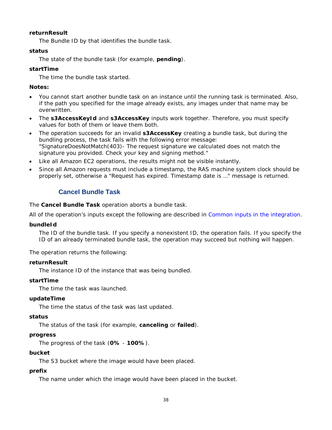# **returnResult**

The Bundle ID by that identifies the bundle task.

# **status**

The state of the bundle task (for example, **pending**).

# **startTime**

The time the bundle task started.

# **Notes:**

- You cannot start another bundle task on an instance until the running task is terminated. Also, if the path you specified for the image already exists, any images under that name may be overwritten.
- The **s3AccessKeyId** and **s3AccessKey** inputs work together. Therefore, you must specify values for both of them or leave them both.
- The operation succeeds for an invalid **s3AccessKey** creating a bundle task, but during the bundling process, the task fails with the following error message: "SignatureDoesNotMatch(403)- The request signature we calculated does not match the signature you provided. Check your key and signing method."
- Like all Amazon EC2 operations, the results might not be visible instantly.
- <span id="page-44-0"></span>• Since all Amazon requests must include a timestamp, the RAS machine system clock should be properly set, otherwise a "Request has expired. Timestamp date is …" message is returned.

# **Cancel Bundle Task**

The **Cancel Bundle Task** operation aborts a bundle task.

All of the operation's inputs except the following are described in *[Common inputs in the integration](#page-10-0)*.

# **bundleId**

The ID of the bundle task. If you specify a nonexistent ID, the operation fails. If you specify the ID of an already terminated bundle task, the operation may succeed but nothing will happen.

The operation returns the following:

# **returnResult**

The instance ID of the instance that was being bundled.

# **startTime**

The time the task was launched.

# **updateTime**

The time the status of the task was last updated.

# **status**

The status of the task (for example, **canceling** or **failed**).

# **progress**

The progress of the task (**0%** - **100%**).

# **bucket**

The S3 bucket where the image would have been placed.

# **prefix**

The name under which the image would have been placed in the bucket.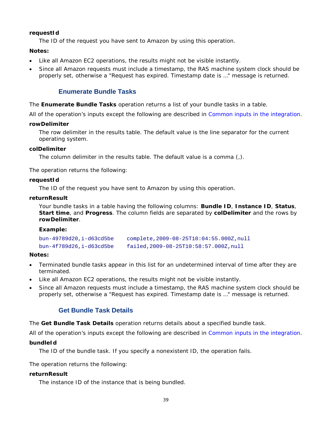# **requestId**

The ID of the request you have sent to Amazon by using this operation.

# **Notes:**

- Like all Amazon EC2 operations, the results might not be visible instantly.
- <span id="page-45-0"></span>• Since all Amazon requests must include a timestamp, the RAS machine system clock should be properly set, otherwise a "Request has expired. Timestamp date is …" message is returned.

# **Enumerate Bundle Tasks**

The **Enumerate Bundle Tasks** operation returns a list of your bundle tasks in a table.

All of the operation's inputs except the following are described in *[Common inputs in the integration](#page-10-0)*.

#### **rowDelimiter**

The row delimiter in the results table. The default value is the line separator for the current operating system.

#### **colDelimiter**

The column delimiter in the results table. The default value is a comma (,).

The operation returns the following:

#### **requestId**

The ID of the request you have sent to Amazon by using this operation.

#### **returnResult**

Your bundle tasks in a table having the following columns: **Bundle ID**, **Instance ID**, **Status**, **Start time**, and **Progress**. The column fields are separated by **colDelimiter** and the rows by **rowDelimiter**.

#### **Example:**

| bun-49789d20, i-d63cd5be       | complete, 2009-08-25T10:04:55.000Z, null |
|--------------------------------|------------------------------------------|
| $bun-4f789d26$ , i-d $63cd5be$ | failed.2009-08-25T10:58:57.000Z.null     |

#### **Notes:**

- Terminated bundle tasks appear in this list for an undetermined interval of time after they are terminated.
- Like all Amazon EC2 operations, the results might not be visible instantly.
- <span id="page-45-1"></span>• Since all Amazon requests must include a timestamp, the RAS machine system clock should be properly set, otherwise a "Request has expired. Timestamp date is …" message is returned.

# **Get Bundle Task Details**

The **Get Bundle Task Details** operation returns details about a specified bundle task.

All of the operation's inputs except the following are described in *[Common inputs in the integration](#page-10-0)*.

#### **bundleId**

The ID of the bundle task. If you specify a nonexistent ID, the operation fails.

The operation returns the following:

#### **returnResult**

The instance ID of the instance that is being bundled.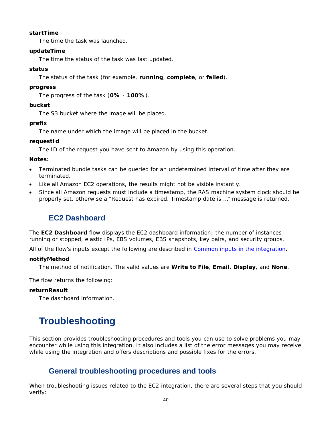# **startTime**

The time the task was launched.

# **updateTime**

The time the status of the task was last updated.

# **status**

The status of the task (for example, **running**, **complete**, or **failed**).

# **progress**

The progress of the task (**0%** - **100%**).

# **bucket**

The S3 bucket where the image will be placed.

# **prefix**

The name under which the image will be placed in the bucket.

# **requestId**

The ID of the request you have sent to Amazon by using this operation.

# **Notes:**

- Terminated bundle tasks can be queried for an undetermined interval of time after they are terminated.
- Like all Amazon EC2 operations, the results might not be visible instantly.
- <span id="page-46-0"></span>• Since all Amazon requests must include a timestamp, the RAS machine system clock should be properly set, otherwise a "Request has expired. Timestamp date is …" message is returned.

# **EC2 Dashboard**

The **EC2 Dashboard** flow displays the EC2 dashboard information: the number of instances running or stopped, elastic IPs, EBS volumes, EBS snapshots, key pairs, and security groups.

All of the flow's inputs except the following are described in *[Common inputs in the integration](#page-10-0)*.

# **notifyMethod**

The method of notification. The valid values are **Write to File**, **Email**, **Display**, and **None**.

The flow returns the following:

# **returnResult**

<span id="page-46-1"></span>The dashboard information.

# **Troubleshooting**

This section provides troubleshooting procedures and tools you can use to solve problems you may encounter while using this integration. It also includes a list of the error messages you may receive while using the integration and offers descriptions and possible fixes for the errors.

# <span id="page-46-2"></span>**General troubleshooting procedures and tools**

When troubleshooting issues related to the EC2 integration, there are several steps that you should verify: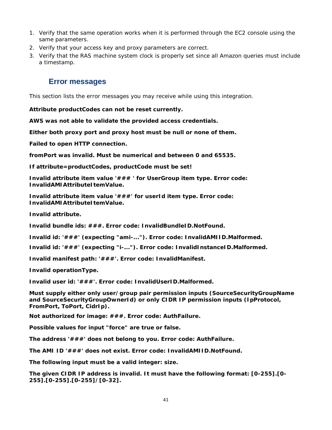- 1. Verify that the same operation works when it is performed through the EC2 console using the same parameters.
- 2. Verify that your access key and proxy parameters are correct.
- <span id="page-47-0"></span>3. Verify that the RAS machine system clock is properly set since all Amazon queries must include a timestamp.

# **Error messages**

This section lists the error messages you may receive while using this integration.

**Attribute productCodes can not be reset currently.**

**AWS was not able to validate the provided access credentials.** 

**Either both proxy port and proxy host must be null or none of them.**

**Failed to open HTTP connection.** 

**fromPort was invalid. Must be numerical and between 0 and 65535.**

**If attribute=productCodes, productCode must be set!**

**Invalid attribute item value '### ' for UserGroup item type. Error code: InvalidAMIAttributeItemValue.** 

**Invalid attribute item value '###' for userId item type. Error code: InvalidAMIAttributeItemValue.** 

**Invalid attribute.** 

**Invalid bundle ids: ###. Error code: InvalidBundleID.NotFound.**

**Invalid id: '###' (expecting "ami-..."). Error code: InvalidAMIID.Malformed.**

**Invalid id: '###' (expecting "i-..."). Error code: InvalidInstanceID.Malformed.**

**Invalid manifest path: '###'. Error code: InvalidManifest.** 

**Invalid operationType.**

**Invalid user id: '###'. Error code: InvalidUserID.Malformed.**

**Must supply either only user/group pair permission inputs (SourceSecurityGroupName and SourceSecurityGroupOwnerId) or only CIDR IP permission inputs (IpProtocol, FromPort, ToPort, CidrIp).**

**Not authorized for image: ###. Error code: AuthFailure.** 

**Possible values for input "force" are true or false.**

**The address '###' does not belong to you. Error code: AuthFailure.** 

**The AMI ID '###' does not exist. Error code: InvalidAMIID.NotFound.** 

**The following input must be a valid integer: size.**

**The given CIDR IP address is invalid. It must have the following format: [0-255].[0- 255].[0-255].[0-255]/[0-32].**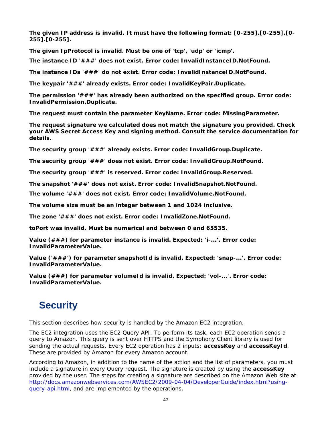**The given IP address is invalid. It must have the following format: [0-255].[0-255].[0- 255].[0-255].**

**The given IpProtocol is invalid. Must be one of 'tcp', 'udp' or 'icmp'.**

**The instance ID '###' does not exist. Error code: InvalidInstanceID.NotFound.** 

**The instance IDs '###' do not exist. Error code: InvalidInstanceID.NotFound.** 

**The keypair '###' already exists. Error code: InvalidKeyPair.Duplicate.**

**The permission '###' has already been authorized on the specified group. Error code: InvalidPermission.Duplicate.** 

**The request must contain the parameter KeyName. Error code: MissingParameter.**

**The request signature we calculated does not match the signature you provided. Check your AWS Secret Access Key and signing method. Consult the service documentation for details.**

**The security group '###' already exists. Error code: InvalidGroup.Duplicate.** 

**The security group '###' does not exist. Error code: InvalidGroup.NotFound.**

**The security group '###' is reserved. Error code: InvalidGroup.Reserved.** 

**The snapshot '###' does not exist. Error code: InvalidSnapshot.NotFound.**

**The volume '###' does not exist. Error code: InvalidVolume.NotFound.** 

**The volume size must be an integer between 1 and 1024 inclusive.**

**The zone '###' does not exist. Error code: InvalidZone.NotFound.**

**toPort was invalid. Must be numerical and between 0 and 65535.**

**Value (###) for parameter instance is invalid. Expected: 'i-...'. Error code: InvalidParameterValue.** 

**Value ('###') for parameter snapshotId is invalid. Expected: 'snap-...'. Error code: InvalidParameterValue.**

**Value (###) for parameter volumeId is invalid. Expected: 'vol-...'. Error code: InvalidParameterValue.** 

# <span id="page-48-0"></span>**Security**

This section describes how security is handled by the Amazon EC2 integration.

The EC2 integration uses the EC2 Query API. To perform its task, each EC2 operation sends a query to Amazon. This query is sent over HTTPS and the Symphony Client library is used for sending the actual requests. Every EC2 operation has 2 inputs: **accessKey** and **accessKeyId**. These are provided by Amazon for every Amazon account.

According to Amazon, in addition to the name of the action and the list of parameters, you must include a signature in every Query request. The signature is created by using the **accessKey**  provided by the user. The steps for creating a signature are described on the Amazon Web site at *[http://docs.amazonwebservices.com/AWSEC2/2009-04-04/DeveloperGuide/index.html?using](http://docs.amazonwebservices.com/AWSEC2/2009-04-04/DeveloperGuide/index.html?using-query-api.html)[query-api.html](http://docs.amazonwebservices.com/AWSEC2/2009-04-04/DeveloperGuide/index.html?using-query-api.html)*, and are implemented by the operations.